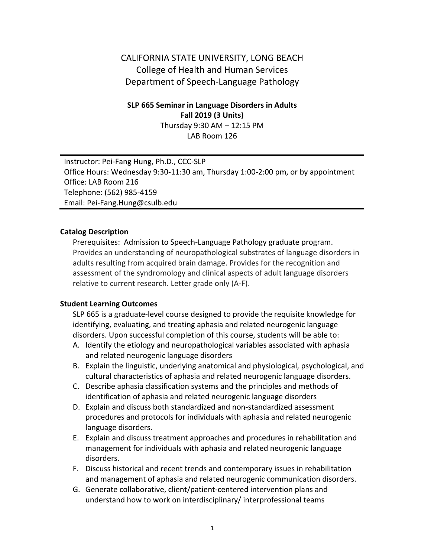# CALIFORNIA STATE UNIVERSITY, LONG BEACH College of Health and Human Services Department of Speech-Language Pathology

### **SLP 665 Seminar in Language Disorders in Adults Fall 2019 (3 Units)**

Thursday 9:30 AM – 12:15 PM LAB Room 126

Instructor: Pei-Fang Hung, Ph.D., CCC-SLP Office Hours: Wednesday 9:30-11:30 am, Thursday 1:00-2:00 pm, or by appointment Office: LAB Room 216 Telephone: (562) 985-4159 Email: Pei-Fang.Hung@csulb.edu

### **Catalog Description**

Prerequisites: Admission to Speech-Language Pathology graduate program. Provides an understanding of neuropathological substrates of language disorders in adults resulting from acquired brain damage. Provides for the recognition and assessment of the syndromology and clinical aspects of adult language disorders relative to current research. Letter grade only (A-F).

### **Student Learning Outcomes**

SLP 665 is a graduate-level course designed to provide the requisite knowledge for identifying, evaluating, and treating aphasia and related neurogenic language disorders. Upon successful completion of this course, students will be able to:

- A. Identify the etiology and neuropathological variables associated with aphasia and related neurogenic language disorders
- B. Explain the linguistic, underlying anatomical and physiological, psychological, and cultural characteristics of aphasia and related neurogenic language disorders.
- C. Describe aphasia classification systems and the principles and methods of identification of aphasia and related neurogenic language disorders
- D. Explain and discuss both standardized and non-standardized assessment procedures and protocols for individuals with aphasia and related neurogenic language disorders.
- E. Explain and discuss treatment approaches and procedures in rehabilitation and management for individuals with aphasia and related neurogenic language disorders.
- F. Discuss historical and recent trends and contemporary issues in rehabilitation and management of aphasia and related neurogenic communication disorders.
- G. Generate collaborative, client/patient-centered intervention plans and understand how to work on interdisciplinary/ interprofessional teams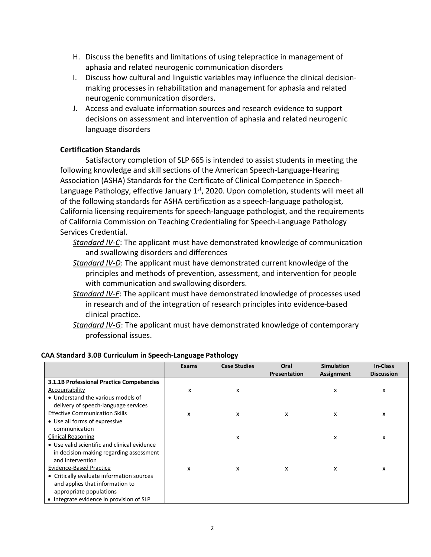- H. Discuss the benefits and limitations of using telepractice in management of aphasia and related neurogenic communication disorders
- I. Discuss how cultural and linguistic variables may influence the clinical decisionmaking processes in rehabilitation and management for aphasia and related neurogenic communication disorders.
- J. Access and evaluate information sources and research evidence to support decisions on assessment and intervention of aphasia and related neurogenic language disorders

### **Certification Standards**

Satisfactory completion of SLP 665 is intended to assist students in meeting the following knowledge and skill sections of the American Speech-Language-Hearing Association (ASHA) Standards for the Certificate of Clinical Competence in Speech-Language Pathology, effective January  $1<sup>st</sup>$ , 2020. Upon completion, students will meet all of the following standards for ASHA certification as a speech-language pathologist, California licensing requirements for speech-language pathologist, and the requirements of California Commission on Teaching Credentialing for Speech-Language Pathology Services Credential.

- *Standard IV-C*: The applicant must have demonstrated knowledge of communication and swallowing disorders and differences
- *Standard IV-D*: The applicant must have demonstrated current knowledge of the principles and methods of prevention, assessment, and intervention for people with communication and swallowing disorders.
- *Standard IV-F*: The applicant must have demonstrated knowledge of processes used in research and of the integration of research principles into evidence-based clinical practice.
- *Standard IV-G*: The applicant must have demonstrated knowledge of contemporary professional issues.

|                                              | <b>Exams</b> | <b>Case Studies</b> | Oral                | <b>Simulation</b> | In-Class          |
|----------------------------------------------|--------------|---------------------|---------------------|-------------------|-------------------|
|                                              |              |                     | <b>Presentation</b> | <b>Assignment</b> | <b>Discussion</b> |
| 3.1.1B Professional Practice Competencies    |              |                     |                     |                   |                   |
| Accountability                               | x            | x                   |                     | x                 | x                 |
| • Understand the various models of           |              |                     |                     |                   |                   |
| delivery of speech-language services         |              |                     |                     |                   |                   |
| <b>Effective Communication Skills</b>        | x            | x                   | x                   | х                 | x                 |
| • Use all forms of expressive                |              |                     |                     |                   |                   |
| communication                                |              |                     |                     |                   |                   |
| <b>Clinical Reasoning</b>                    |              | x                   |                     | x                 | x                 |
| • Use valid scientific and clinical evidence |              |                     |                     |                   |                   |
| in decision-making regarding assessment      |              |                     |                     |                   |                   |
| and intervention                             |              |                     |                     |                   |                   |
| <b>Evidence-Based Practice</b>               | x            | x                   | x                   | x                 | x                 |
| • Critically evaluate information sources    |              |                     |                     |                   |                   |
| and applies that information to              |              |                     |                     |                   |                   |
| appropriate populations                      |              |                     |                     |                   |                   |
| • Integrate evidence in provision of SLP     |              |                     |                     |                   |                   |

#### **CAA Standard 3.0B Curriculum in Speech-Language Pathology**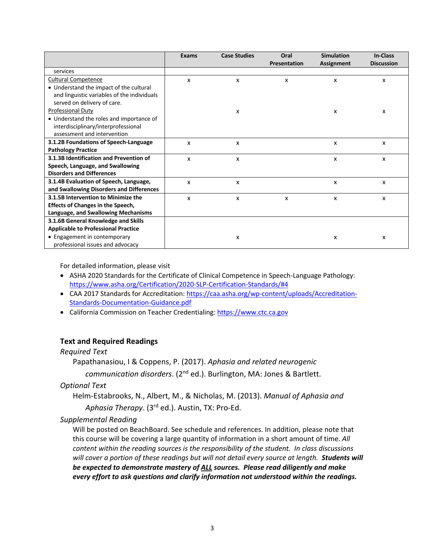|                                             | <b>Exams</b>              | <b>Case Studies</b> | Oral                | <b>Simulation</b> | In-Class                  |
|---------------------------------------------|---------------------------|---------------------|---------------------|-------------------|---------------------------|
|                                             |                           |                     | <b>Presentation</b> | <b>Assignment</b> | <b>Discussion</b>         |
| services                                    |                           |                     |                     |                   |                           |
| <b>Cultural Competence</b>                  | $\boldsymbol{\mathsf{x}}$ | X                   | x                   | x                 | X                         |
| • Understand the impact of the cultural     |                           |                     |                     |                   |                           |
| and linguistic variables of the individuals |                           |                     |                     |                   |                           |
| served on delivery of care.                 |                           |                     |                     |                   |                           |
| Professional Duty                           |                           | X                   |                     | X                 | $\boldsymbol{\mathsf{x}}$ |
| • Understand the roles and importance of    |                           |                     |                     |                   |                           |
| interdisciplinary/interprofessional         |                           |                     |                     |                   |                           |
| assessment and intervention                 |                           |                     |                     |                   |                           |
| 3.1.2B Foundations of Speech-Language       | x                         | X                   |                     | x                 | X                         |
| <b>Pathology Practice</b>                   |                           |                     |                     |                   |                           |
| 3.1.3B Identification and Prevention of     | $\mathsf{x}$              | X                   |                     | x                 | x                         |
| Speech, Language, and Swallowing            |                           |                     |                     |                   |                           |
| <b>Disorders and Differences</b>            |                           |                     |                     |                   |                           |
| 3.1.4B Evaluation of Speech, Language,      | $\boldsymbol{\mathsf{x}}$ | X                   |                     | x                 | X                         |
| and Swallowing Disorders and Differences    |                           |                     |                     |                   |                           |
| 3.1.5B Intervention to Minimize the         | X                         | X                   | X                   | x                 | X                         |
| <b>Effects of Changes in the Speech,</b>    |                           |                     |                     |                   |                           |
| Language, and Swallowing Mechanisms         |                           |                     |                     |                   |                           |
| 3.1.6B General Knowledge and Skills         |                           |                     |                     |                   |                           |
| <b>Applicable to Professional Practice</b>  |                           |                     |                     |                   |                           |
| • Engagement in contemporary                |                           | X                   |                     | x                 | x                         |
| professional issues and advocacy            |                           |                     |                     |                   |                           |

For detailed information, please visit

- ASHA 2020 Standards for the Certificate of Clinical Competence in Speech-Language Pathology: https://www.asha.org/Certification/2020-SLP-Certification-Standards/#4
- CAA 2017 Standards for Accreditation: https://caa.asha.org/wp-content/uploads/Accreditation-Standards-Documentation-Guidance.pdf
- California Commission on Teacher Credentialing: https://www.ctc.ca.gov

### **Text and Required Readings**

#### *Required Text*

Papathanasiou, I & Coppens, P. (2017). *Aphasia and related neurogenic* 

*communication disorders*. (2nd ed.). Burlington, MA: Jones & Bartlett.

#### *Optional Text*

Helm-Estabrooks, N., Albert, M., & Nicholas, M. (2013). *Manual of Aphasia and Aphasia Therapy*. (3rd ed.). Austin, TX: Pro-Ed.

### *Supplemental Reading*

Will be posted on BeachBoard. See schedule and references. In addition, please note that this course will be covering a large quantity of information in a short amount of time. *All content within the reading sources is the responsibility of the student. In class discussions will cover a portion of these readings but will not detail every source at length. Students will be expected to demonstrate mastery of ALL sources. Please read diligently and make every effort to ask questions and clarify information not understood within the readings.*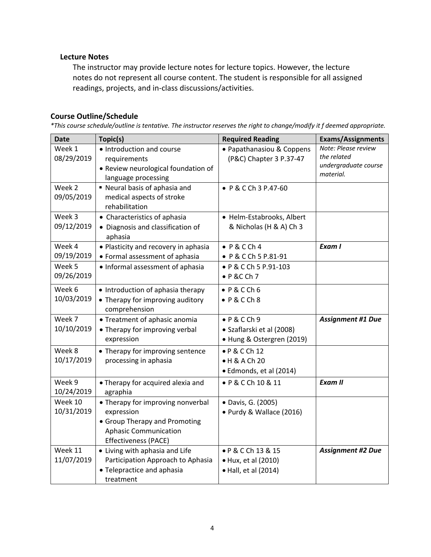#### **Lecture Notes**

The instructor may provide lecture notes for lecture topics. However, the lecture notes do not represent all course content. The student is responsible for all assigned readings, projects, and in-class discussions/activities.

#### **Course Outline/Schedule**

*\*This course schedule/outline is tentative. The instructor reserves the right to change/modify it f deemed appropriate.*

| <b>Date</b>           | Topic(s)                                                                                                                                 | <b>Required Reading</b>                                                        | <b>Exams/Assignments</b>                                                |
|-----------------------|------------------------------------------------------------------------------------------------------------------------------------------|--------------------------------------------------------------------------------|-------------------------------------------------------------------------|
| Week 1<br>08/29/2019  | • Introduction and course<br>requirements<br>• Review neurological foundation of<br>language processing                                  | • Papathanasiou & Coppens<br>(P&C) Chapter 3 P.37-47                           | Note: Please review<br>the related<br>undergraduate course<br>material. |
| Week 2<br>09/05/2019  | " Neural basis of aphasia and<br>medical aspects of stroke<br>rehabilitation                                                             | • P & C Ch 3 P.47-60                                                           |                                                                         |
| Week 3<br>09/12/2019  | • Characteristics of aphasia<br>• Diagnosis and classification of<br>aphasia                                                             | · Helm-Estabrooks, Albert<br>& Nicholas (H & A) Ch 3                           |                                                                         |
| Week 4<br>09/19/2019  | • Plasticity and recovery in aphasia<br>• Formal assessment of aphasia                                                                   | $\bullet$ P & C Ch 4<br>• P & C Ch 5 P.81-91                                   | Exam I                                                                  |
| Week 5<br>09/26/2019  | • Informal assessment of aphasia                                                                                                         | • P & C Ch 5 P.91-103<br>$\bullet$ P &C Ch 7                                   |                                                                         |
| Week 6<br>10/03/2019  | • Introduction of aphasia therapy<br>• Therapy for improving auditory<br>comprehension                                                   | $\bullet$ P & C Ch 6<br>$\bullet$ P & C Ch 8                                   |                                                                         |
| Week 7<br>10/10/2019  | • Treatment of aphasic anomia<br>• Therapy for improving verbal<br>expression                                                            | $\bullet$ P & C Ch 9<br>• Szaflarski et al (2008)<br>• Hung & Ostergren (2019) | <b>Assignment #1 Due</b>                                                |
| Week 8<br>10/17/2019  | • Therapy for improving sentence<br>processing in aphasia                                                                                | • P & C Ch 12<br>• H & A Ch 20<br>· Edmonds, et al (2014)                      |                                                                         |
| Week 9<br>10/24/2019  | • Therapy for acquired alexia and<br>agraphia                                                                                            | • P & C Ch 10 & 11                                                             | Exam II                                                                 |
| Week 10<br>10/31/2019 | • Therapy for improving nonverbal<br>expression<br>• Group Therapy and Promoting<br><b>Aphasic Communication</b><br>Effectiveness (PACE) | · Davis, G. (2005)<br>• Purdy & Wallace (2016)                                 |                                                                         |
| Week 11<br>11/07/2019 | • Living with aphasia and Life<br>Participation Approach to Aphasia<br>• Telepractice and aphasia<br>treatment                           | • P & C Ch 13 & 15<br>• Hux, et al (2010)<br>• Hall, et al (2014)              | <b>Assignment #2 Due</b>                                                |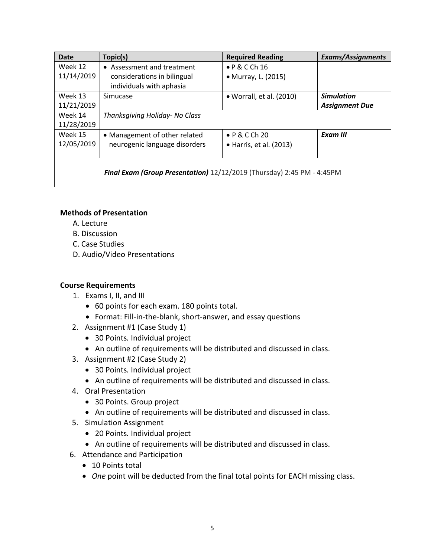| <b>Date</b>           | Topic(s)                                                       | <b>Required Reading</b>                          | <b>Exams/Assignments</b> |
|-----------------------|----------------------------------------------------------------|--------------------------------------------------|--------------------------|
| Week 12               | • Assessment and treatment                                     | $\bullet$ P & C Ch 16                            |                          |
| 11/14/2019            | considerations in bilingual<br>individuals with aphasia        | • Murray, L. (2015)                              |                          |
| Week 13               | Simucase                                                       | • Worrall, et al. (2010)                         | <b>Simulation</b>        |
| 11/21/2019            |                                                                |                                                  | <b>Assignment Due</b>    |
| Week 14<br>11/28/2019 | Thanksgiving Holiday- No Class                                 |                                                  |                          |
| Week 15<br>12/05/2019 | • Management of other related<br>neurogenic language disorders | $\bullet$ P & C Ch 20<br>• Harris, et al. (2013) | Exam III                 |
|                       |                                                                |                                                  |                          |

*Final Exam (Group Presentation)* 12/12/2019 (Thursday) 2:45 PM - 4:45PM

### **Methods of Presentation**

- A. Lecture
- B. Discussion
- C. Case Studies
- D. Audio/Video Presentations

### **Course Requirements**

- 1. Exams I, II, and III
	- 60 points for each exam. 180 points total*.*
	- Format: Fill-in-the-blank, short-answer, and essay questions
- 2. Assignment #1 (Case Study 1)
	- 30 Points*.* Individual project
	- An outline of requirements will be distributed and discussed in class.
- 3. Assignment #2 (Case Study 2)
	- 30 Points*.* Individual project
	- An outline of requirements will be distributed and discussed in class.
- 4. Oral Presentation
	- 30 Points. Group project
	- An outline of requirements will be distributed and discussed in class.
- 5. Simulation Assignment
	- 20 Points*.* Individual project
	- An outline of requirements will be distributed and discussed in class.
- 6. Attendance and Participation
	- 10 Points total
	- *One* point will be deducted from the final total points for EACH missing class.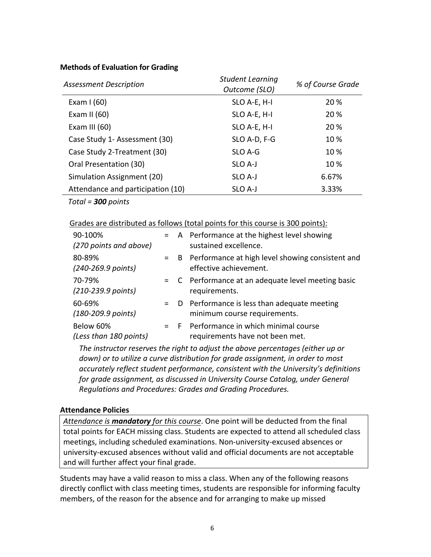#### **Methods of Evaluation for Grading**

| <b>Assessment Description</b>     | <b>Student Learning</b><br>Outcome (SLO) | % of Course Grade |  |
|-----------------------------------|------------------------------------------|-------------------|--|
| Exam $1(60)$                      | SLO A-E, H-I                             | 20 %              |  |
| Exam II $(60)$                    | SLO A-E, H-I                             | 20 %              |  |
| Exam III $(60)$                   | SLO A-E, H-I                             | 20 %              |  |
| Case Study 1- Assessment (30)     | SLO A-D, F-G                             | 10 %              |  |
| Case Study 2-Treatment (30)       | SLO A-G                                  | 10 %              |  |
| Oral Presentation (30)            | SLO A-J                                  | 10 %              |  |
| Simulation Assignment (20)        | SLO A-J                                  | 6.67%             |  |
| Attendance and participation (10) | SLO A-J                                  | 3.33%             |  |

*Total = 300 points* 

Grades are distributed as follows (total points for this course is 300 points):

| 90-100%<br>(270 points and above)        |       | = A Performance at the highest level showing<br>sustained excellence.           |
|------------------------------------------|-------|---------------------------------------------------------------------------------|
| 80-89%<br>(240-269.9 points)             | $=$ B | Performance at high level showing consistent and<br>effective achievement.      |
| 70-79%<br>$(210 - 239.9 \text{ points})$ |       | = C Performance at an adequate level meeting basic<br>requirements.             |
| 60-69%<br>$(180 - 209.9 \text{ points})$ |       | $=$ D Performance is less than adequate meeting<br>minimum course requirements. |
| Below 60%<br>(Less than 180 points)      | $=$ F | Performance in which minimal course<br>requirements have not been met.          |

*The instructor reserves the right to adjust the above percentages (either up or down) or to utilize a curve distribution for grade assignment, in order to most accurately reflect student performance, consistent with the University's definitions for grade assignment, as discussed in University Course Catalog, under General Regulations and Procedures: Grades and Grading Procedures.*

### **Attendance Policies**

*Attendance is mandatory for this course*. One point will be deducted from the final total points for EACH missing class. Students are expected to attend all scheduled class meetings, including scheduled examinations. Non-university-excused absences or university-excused absences without valid and official documents are not acceptable and will further affect your final grade.

Students may have a valid reason to miss a class. When any of the following reasons directly conflict with class meeting times, students are responsible for informing faculty members, of the reason for the absence and for arranging to make up missed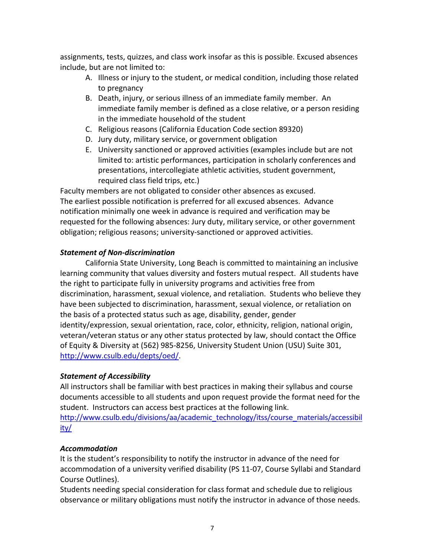assignments, tests, quizzes, and class work insofar as this is possible. Excused absences include, but are not limited to:

- A. Illness or injury to the student, or medical condition, including those related to pregnancy
- B. Death, injury, or serious illness of an immediate family member. An immediate family member is defined as a close relative, or a person residing in the immediate household of the student
- C. Religious reasons (California Education Code section 89320)
- D. Jury duty, military service, or government obligation
- E. University sanctioned or approved activities (examples include but are not limited to: artistic performances, participation in scholarly conferences and presentations, intercollegiate athletic activities, student government, required class field trips, etc.)

Faculty members are not obligated to consider other absences as excused. The earliest possible notification is preferred for all excused absences. Advance notification minimally one week in advance is required and verification may be requested for the following absences: Jury duty, military service, or other government obligation; religious reasons; university-sanctioned or approved activities.

# *Statement of Non-discrimination*

California State University, Long Beach is committed to maintaining an inclusive learning community that values diversity and fosters mutual respect. All students have the right to participate fully in university programs and activities free from discrimination, harassment, sexual violence, and retaliation. Students who believe they have been subjected to discrimination, harassment, sexual violence, or retaliation on the basis of a protected status such as age, disability, gender, gender identity/expression, sexual orientation, race, color, ethnicity, religion, national origin, veteran/veteran status or any other status protected by law, should contact the Office of Equity & Diversity at (562) 985-8256, University Student Union (USU) Suite 301, http://www.csulb.edu/depts/oed/.

# *Statement of Accessibility*

All instructors shall be familiar with best practices in making their syllabus and course documents accessible to all students and upon request provide the format need for the student. Instructors can access best practices at the following link. http://www.csulb.edu/divisions/aa/academic\_technology/itss/course\_materials/accessibil ity/

# *Accommodation*

It is the student's responsibility to notify the instructor in advance of the need for accommodation of a university verified disability (PS 11-07, Course Syllabi and Standard Course Outlines).

Students needing special consideration for class format and schedule due to religious observance or military obligations must notify the instructor in advance of those needs.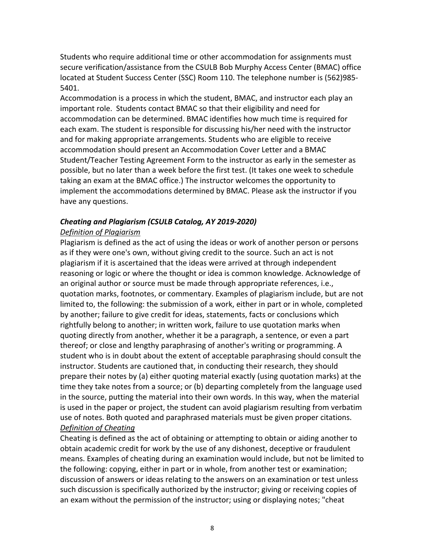Students who require additional time or other accommodation for assignments must secure verification/assistance from the CSULB Bob Murphy Access Center (BMAC) office located at Student Success Center (SSC) Room 110. The telephone number is (562)985- 5401.

Accommodation is a process in which the student, BMAC, and instructor each play an important role. Students contact BMAC so that their eligibility and need for accommodation can be determined. BMAC identifies how much time is required for each exam. The student is responsible for discussing his/her need with the instructor and for making appropriate arrangements. Students who are eligible to receive accommodation should present an Accommodation Cover Letter and a BMAC Student/Teacher Testing Agreement Form to the instructor as early in the semester as possible, but no later than a week before the first test. (It takes one week to schedule taking an exam at the BMAC office.) The instructor welcomes the opportunity to implement the accommodations determined by BMAC. Please ask the instructor if you have any questions.

### *Cheating and Plagiarism (CSULB Catalog, AY 2019-2020)*

### *Definition of Plagiarism*

Plagiarism is defined as the act of using the ideas or work of another person or persons as if they were one's own, without giving credit to the source. Such an act is not plagiarism if it is ascertained that the ideas were arrived at through independent reasoning or logic or where the thought or idea is common knowledge. Acknowledge of an original author or source must be made through appropriate references, i.e., quotation marks, footnotes, or commentary. Examples of plagiarism include, but are not limited to, the following: the submission of a work, either in part or in whole, completed by another; failure to give credit for ideas, statements, facts or conclusions which rightfully belong to another; in written work, failure to use quotation marks when quoting directly from another, whether it be a paragraph, a sentence, or even a part thereof; or close and lengthy paraphrasing of another's writing or programming. A student who is in doubt about the extent of acceptable paraphrasing should consult the instructor. Students are cautioned that, in conducting their research, they should prepare their notes by (a) either quoting material exactly (using quotation marks) at the time they take notes from a source; or (b) departing completely from the language used in the source, putting the material into their own words. In this way, when the material is used in the paper or project, the student can avoid plagiarism resulting from verbatim use of notes. Both quoted and paraphrased materials must be given proper citations. *Definition of Cheating*

Cheating is defined as the act of obtaining or attempting to obtain or aiding another to obtain academic credit for work by the use of any dishonest, deceptive or fraudulent means. Examples of cheating during an examination would include, but not be limited to the following: copying, either in part or in whole, from another test or examination; discussion of answers or ideas relating to the answers on an examination or test unless such discussion is specifically authorized by the instructor; giving or receiving copies of an exam without the permission of the instructor; using or displaying notes; "cheat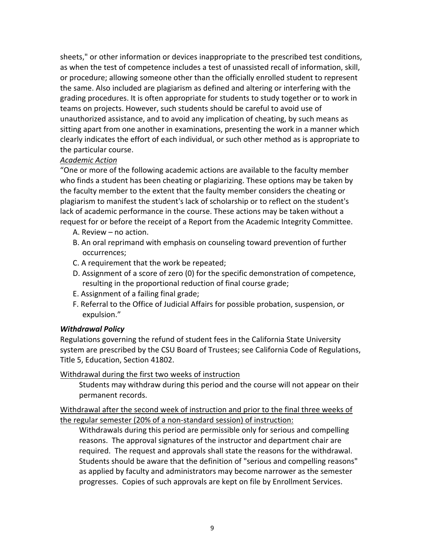sheets," or other information or devices inappropriate to the prescribed test conditions, as when the test of competence includes a test of unassisted recall of information, skill, or procedure; allowing someone other than the officially enrolled student to represent the same. Also included are plagiarism as defined and altering or interfering with the grading procedures. It is often appropriate for students to study together or to work in teams on projects. However, such students should be careful to avoid use of unauthorized assistance, and to avoid any implication of cheating, by such means as sitting apart from one another in examinations, presenting the work in a manner which clearly indicates the effort of each individual, or such other method as is appropriate to the particular course.

# *Academic Action*

"One or more of the following academic actions are available to the faculty member who finds a student has been cheating or plagiarizing. These options may be taken by the faculty member to the extent that the faulty member considers the cheating or plagiarism to manifest the student's lack of scholarship or to reflect on the student's lack of academic performance in the course. These actions may be taken without a request for or before the receipt of a Report from the Academic Integrity Committee.

- A. Review no action.
- B. An oral reprimand with emphasis on counseling toward prevention of further occurrences;
- C. A requirement that the work be repeated;
- D. Assignment of a score of zero (0) for the specific demonstration of competence, resulting in the proportional reduction of final course grade;
- E. Assignment of a failing final grade;
- F. Referral to the Office of Judicial Affairs for possible probation, suspension, or expulsion."

# *Withdrawal Policy*

Regulations governing the refund of student fees in the California State University system are prescribed by the CSU Board of Trustees; see California Code of Regulations, Title 5, Education, Section 41802.

Withdrawal during the first two weeks of instruction

Students may withdraw during this period and the course will not appear on their permanent records.

Withdrawal after the second week of instruction and prior to the final three weeks of the regular semester (20% of a non-standard session) of instruction:

Withdrawals during this period are permissible only for serious and compelling reasons. The approval signatures of the instructor and department chair are required. The request and approvals shall state the reasons for the withdrawal. Students should be aware that the definition of "serious and compelling reasons" as applied by faculty and administrators may become narrower as the semester progresses. Copies of such approvals are kept on file by Enrollment Services.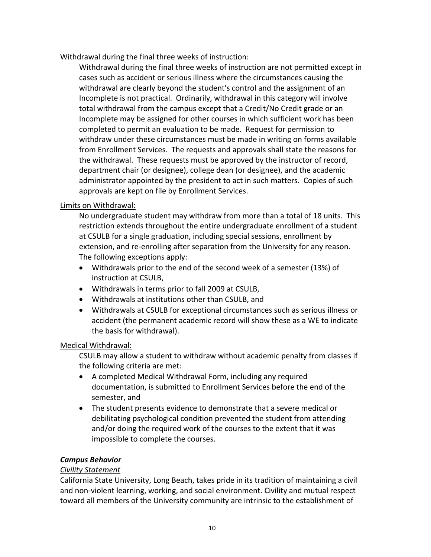# Withdrawal during the final three weeks of instruction:

Withdrawal during the final three weeks of instruction are not permitted except in cases such as accident or serious illness where the circumstances causing the withdrawal are clearly beyond the student's control and the assignment of an Incomplete is not practical. Ordinarily, withdrawal in this category will involve total withdrawal from the campus except that a Credit/No Credit grade or an Incomplete may be assigned for other courses in which sufficient work has been completed to permit an evaluation to be made. Request for permission to withdraw under these circumstances must be made in writing on forms available from Enrollment Services. The requests and approvals shall state the reasons for the withdrawal. These requests must be approved by the instructor of record, department chair (or designee), college dean (or designee), and the academic administrator appointed by the president to act in such matters. Copies of such approvals are kept on file by Enrollment Services.

### Limits on Withdrawal:

No undergraduate student may withdraw from more than a total of 18 units. This restriction extends throughout the entire undergraduate enrollment of a student at CSULB for a single graduation, including special sessions, enrollment by extension, and re-enrolling after separation from the University for any reason. The following exceptions apply:

- Withdrawals prior to the end of the second week of a semester (13%) of instruction at CSULB,
- Withdrawals in terms prior to fall 2009 at CSULB,
- Withdrawals at institutions other than CSULB, and
- Withdrawals at CSULB for exceptional circumstances such as serious illness or accident (the permanent academic record will show these as a WE to indicate the basis for withdrawal).

# Medical Withdrawal:

CSULB may allow a student to withdraw without academic penalty from classes if the following criteria are met:

- A completed Medical Withdrawal Form, including any required documentation, is submitted to Enrollment Services before the end of the semester, and
- The student presents evidence to demonstrate that a severe medical or debilitating psychological condition prevented the student from attending and/or doing the required work of the courses to the extent that it was impossible to complete the courses.

# *Campus Behavior*

# *Civility Statement*

California State University, Long Beach, takes pride in its tradition of maintaining a civil and non-violent learning, working, and social environment. Civility and mutual respect toward all members of the University community are intrinsic to the establishment of